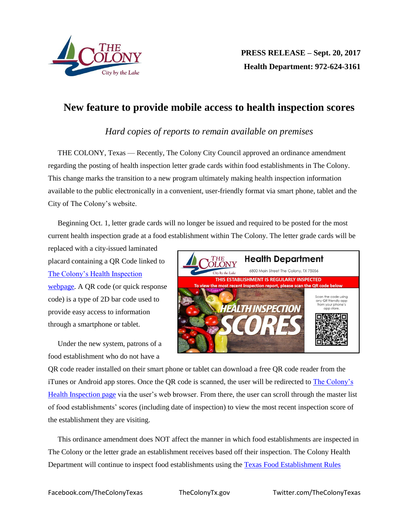

## **New feature to provide mobile access to health inspection scores**

## *Hard copies of reports to remain available on premises*

THE COLONY, Texas — Recently, The Colony City Council approved an ordinance amendment regarding the posting of health inspection letter grade cards within food establishments in The Colony. This change marks the transition to a new program ultimately making health inspection information available to the public electronically in a convenient, user-friendly format via smart phone, tablet and the City of The Colony's website.

Beginning Oct. 1, letter grade cards will no longer be issued and required to be posted for the most current health inspection grade at a food establishment within The Colony. The letter grade cards will be

replaced with a city-issued laminated placard containing a QR Code linked to The [Colony's Health Inspection](http://thecolonytx.gov/Depts/Community_Image/Health/RestInspectionScores.php)  [webpage.](http://thecolonytx.gov/Depts/Community_Image/Health/RestInspectionScores.php) A QR code (or quick response code) is a type of 2D bar code used to provide easy access to information through a smartphone or tablet.

Under the new system, patrons of a food establishment who do not have a



QR code reader installed on their smart phone or tablet can download a free QR code reader from the iTunes or Android app stores. Once the QR code is scanned, the user will be redirected to [The Colony's](http://thecolonytx.gov/Depts/Community_Image/Health/HealthDepartment.html)  [Health Inspection page](http://thecolonytx.gov/Depts/Community_Image/Health/HealthDepartment.html) via the user's web browser. From there, the user can scroll through the master list of food establishments' scores (including date of inspection) to view the most recent inspection score of the establishment they are visiting.

This ordinance amendment does NOT affect the manner in which food establishments are inspected in The Colony or the letter grade an establishment receives based off their inspection. The Colony Health Department will continue to inspect food establishments using the [Texas Food Establishment Rules](http://texreg.sos.state.tx.us/public/readtac$ext.ViewTAC?tac_view=4&ti=25&pt=1&ch=228)